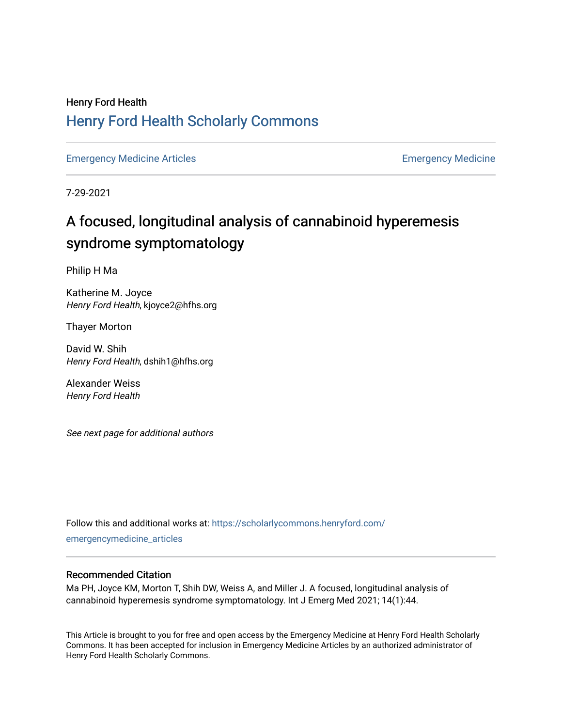## Henry Ford Health [Henry Ford Health Scholarly Commons](https://scholarlycommons.henryford.com/)

[Emergency Medicine Articles](https://scholarlycommons.henryford.com/emergencymedicine_articles) **Emergency Medicine** 

7-29-2021

## A focused, longitudinal analysis of cannabinoid hyperemesis syndrome symptomatology

Philip H Ma

Katherine M. Joyce Henry Ford Health, kjoyce2@hfhs.org

Thayer Morton

David W. Shih Henry Ford Health, dshih1@hfhs.org

Alexander Weiss Henry Ford Health

See next page for additional authors

Follow this and additional works at: [https://scholarlycommons.henryford.com/](https://scholarlycommons.henryford.com/emergencymedicine_articles?utm_source=scholarlycommons.henryford.com%2Femergencymedicine_articles%2F231&utm_medium=PDF&utm_campaign=PDFCoverPages) [emergencymedicine\\_articles](https://scholarlycommons.henryford.com/emergencymedicine_articles?utm_source=scholarlycommons.henryford.com%2Femergencymedicine_articles%2F231&utm_medium=PDF&utm_campaign=PDFCoverPages) 

### Recommended Citation

Ma PH, Joyce KM, Morton T, Shih DW, Weiss A, and Miller J. A focused, longitudinal analysis of cannabinoid hyperemesis syndrome symptomatology. Int J Emerg Med 2021; 14(1):44.

This Article is brought to you for free and open access by the Emergency Medicine at Henry Ford Health Scholarly Commons. It has been accepted for inclusion in Emergency Medicine Articles by an authorized administrator of Henry Ford Health Scholarly Commons.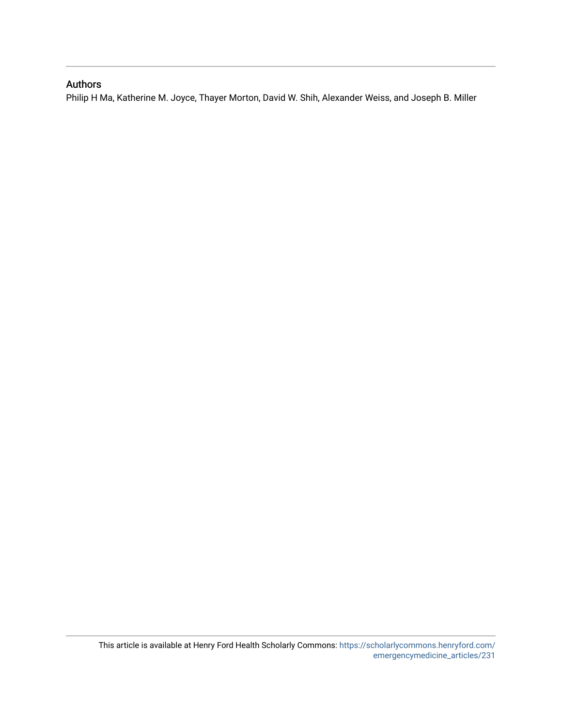## Authors

Philip H Ma, Katherine M. Joyce, Thayer Morton, David W. Shih, Alexander Weiss, and Joseph B. Miller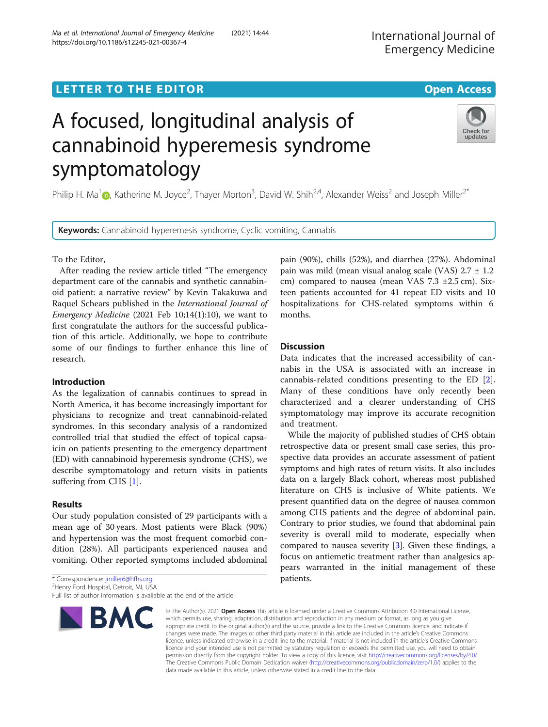## **LETTER TO THE EDITOR CONSIDERING ACCESS**

# A focused, longitudinal analysis of cannabinoid hyperemesis syndrome symptomatology

Philip H. Ma<sup>1</sup> [,](http://orcid.org/0000-0001-5199-455X) Katherine M. Joyce<sup>2</sup>, Thayer Morton<sup>3</sup>, David W. Shih<sup>2,4</sup>, Alexander Weiss<sup>2</sup> and Joseph Miller<sup>2\*</sup>

Keywords: Cannabinoid hyperemesis syndrome, Cyclic vomiting, Cannabis

To the Editor,

After reading the review article titled "The emergency department care of the cannabis and synthetic cannabinoid patient: a narrative review" by Kevin Takakuwa and Raquel Schears published in the International Journal of Emergency Medicine (2021 Feb 10;14(1):10), we want to first congratulate the authors for the successful publication of this article. Additionally, we hope to contribute some of our findings to further enhance this line of research.

#### Introduction

As the legalization of cannabis continues to spread in North America, it has become increasingly important for physicians to recognize and treat cannabinoid-related syndromes. In this secondary analysis of a randomized controlled trial that studied the effect of topical capsaicin on patients presenting to the emergency department (ED) with cannabinoid hyperemesis syndrome (CHS), we describe symptomatology and return visits in patients suffering from CHS [\[1](#page-3-0)].

#### Results

Our study population consisted of 29 participants with a mean age of 30 years. Most patients were Black (90%) and hypertension was the most frequent comorbid condition (28%). All participants experienced nausea and vomiting. Other reported symptoms included abdominal

\* Correspondence: [jmiller6@hfhs.org](mailto:jmiller6@hfhs.org) <sup>2</sup>

<sup>2</sup>Henry Ford Hospital, Detroit, MI, USA

Full list of author information is available at the end of the article

## pain (90%), chills (52%), and diarrhea (27%). Abdominal pain was mild (mean visual analog scale (VAS) 2.7 ± 1.2 cm) compared to nausea (mean VAS 7.3 ±2.5 cm). Sixteen patients accounted for 41 repeat ED visits and 10 hospitalizations for CHS-related symptoms within 6 months.

#### **Discussion**

Data indicates that the increased accessibility of cannabis in the USA is associated with an increase in cannabis-related conditions presenting to the ED [\[2](#page-3-0)]. Many of these conditions have only recently been characterized and a clearer understanding of CHS symptomatology may improve its accurate recognition and treatment.

While the majority of published studies of CHS obtain retrospective data or present small case series, this prospective data provides an accurate assessment of patient symptoms and high rates of return visits. It also includes data on a largely Black cohort, whereas most published literature on CHS is inclusive of White patients. We present quantified data on the degree of nausea common among CHS patients and the degree of abdominal pain. Contrary to prior studies, we found that abdominal pain severity is overall mild to moderate, especially when compared to nausea severity [[3\]](#page-3-0). Given these findings, a focus on antiemetic treatment rather than analgesics appears warranted in the initial management of these patients.

© The Author(s), 2021 **Open Access** This article is licensed under a Creative Commons Attribution 4.0 International License, which permits use, sharing, adaptation, distribution and reproduction in any medium or format, as long as you give appropriate credit to the original author(s) and the source, provide a link to the Creative Commons licence, and indicate if changes were made. The images or other third party material in this article are included in the article's Creative Commons licence, unless indicated otherwise in a credit line to the material. If material is not included in the article's Creative Commons licence and your intended use is not permitted by statutory regulation or exceeds the permitted use, you will need to obtain permission directly from the copyright holder. To view a copy of this licence, visit [http://creativecommons.org/licenses/by/4.0/.](http://creativecommons.org/licenses/by/4.0/) The Creative Commons Public Domain Dedication waiver [\(http://creativecommons.org/publicdomain/zero/1.0/](http://creativecommons.org/publicdomain/zero/1.0/)) applies to the data made available in this article, unless otherwise stated in a credit line to the data.





Check for updates